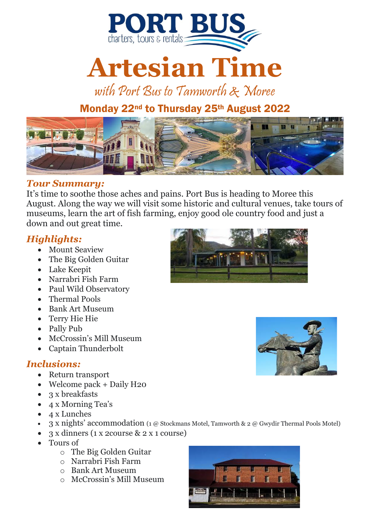

# **Artesian Time**

with Port Bus to Tamworth & Moree

# Monday 22<sup>nd</sup> to Thursday 25<sup>th</sup> August 2022



#### *Tour Summary:*

It's time to soothe those aches and pains. Port Bus is heading to Moree this August. Along the way we will visit some historic and cultural venues, take tours of museums, learn the art of fish farming, enjoy good ole country food and just a down and out great time.

#### *Highlights:*

- Mount Seaview
- The Big Golden Guitar
- Lake Keepit
- Narrabri Fish Farm
- Paul Wild Observatory
- Thermal Pools
- Bank Art Museum
- Terry Hie Hie
- Pally Pub
- McCrossin's Mill Museum
- Captain Thunderbolt

#### *Inclusions:*

- Return transport
- Welcome pack + Daily H20
- 3 x breakfasts
- 4 x Morning Tea's
- 4 x Lunches
- 3 x nights' accommodation (1 @ Stockmans Motel, Tamworth & 2 @ Gwydir Thermal Pools Motel)
- 3 x dinners (1 x 2course & 2 x 1 course)
- Tours of
	- o The Big Golden Guitar
	- o Narrabri Fish Farm
	- o Bank Art Museum
	- o McCrossin's Mill Museum